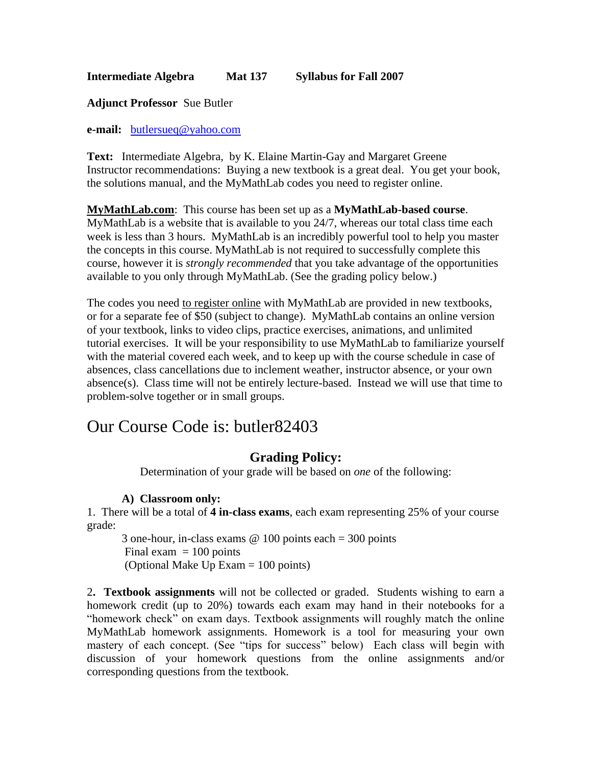## **Intermediate Algebra Mat 137 Syllabus for Fall 2007**

### **Adjunct Professor** Sue Butler

**e-mail:** [butlersueq@yahoo.com](mailto:butlersueq@yahoo.com)

**Text:** Intermediate Algebra, by K. Elaine Martin-Gay and Margaret Greene Instructor recommendations: Buying a new textbook is a great deal. You get your book, the solutions manual, and the MyMathLab codes you need to register online.

**MyMathLab.com**: This course has been set up as a **MyMathLab-based course**. MyMathLab is a website that is available to you 24/7, whereas our total class time each week is less than 3 hours. MyMathLab is an incredibly powerful tool to help you master the concepts in this course. MyMathLab is not required to successfully complete this course, however it is *strongly recommended* that you take advantage of the opportunities available to you only through MyMathLab. (See the grading policy below.)

The codes you need to register online with MyMathLab are provided in new textbooks, or for a separate fee of \$50 (subject to change). MyMathLab contains an online version of your textbook, links to video clips, practice exercises, animations, and unlimited tutorial exercises. It will be your responsibility to use MyMathLab to familiarize yourself with the material covered each week, and to keep up with the course schedule in case of absences, class cancellations due to inclement weather, instructor absence, or your own absence(s). Class time will not be entirely lecture-based. Instead we will use that time to problem-solve together or in small groups.

# Our Course Code is: butler82403

# **Grading Policy:**

Determination of your grade will be based on *one* of the following:

# **A) Classroom only:**

1. There will be a total of **4 in-class exams**, each exam representing 25% of your course grade:

3 one-hour, in-class exams @ 100 points each = 300 points Final exam  $= 100$  points (Optional Make Up Exam = 100 points)

2**. Textbook assignments** will not be collected or graded. Students wishing to earn a homework credit (up to 20%) towards each exam may hand in their notebooks for a "homework check" on exam days. Textbook assignments will roughly match the online MyMathLab homework assignments. Homework is a tool for measuring your own mastery of each concept. (See "tips for success" below) Each class will begin with discussion of your homework questions from the online assignments and/or corresponding questions from the textbook.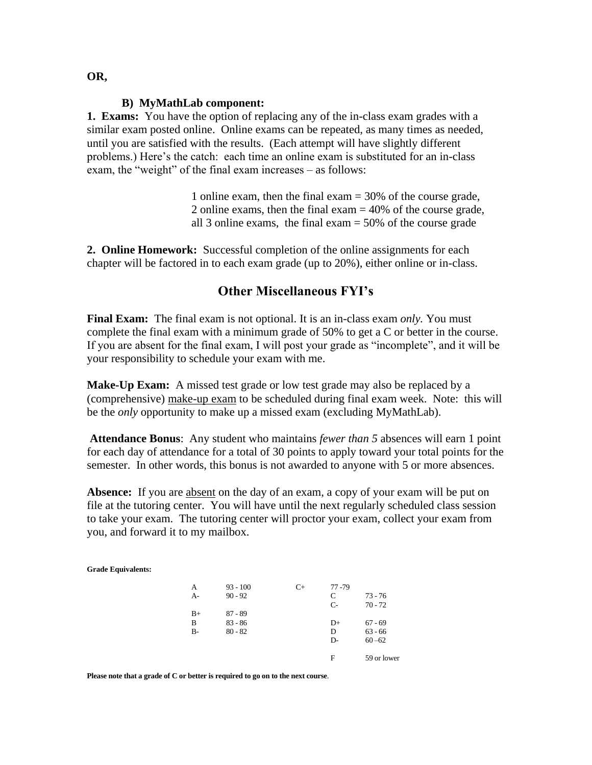#### **B) MyMathLab component:**

**1. Exams:** You have the option of replacing any of the in-class exam grades with a similar exam posted online. Online exams can be repeated, as many times as needed, until you are satisfied with the results. (Each attempt will have slightly different problems.) Here's the catch: each time an online exam is substituted for an in-class exam, the "weight" of the final exam increases – as follows:

> 1 online exam, then the final exam = 30% of the course grade, 2 online exams, then the final exam = 40% of the course grade, all 3 online exams, the final exam  $= 50\%$  of the course grade

**2. Online Homework:** Successful completion of the online assignments for each chapter will be factored in to each exam grade (up to 20%), either online or in-class.

# **Other Miscellaneous FYI's**

**Final Exam:** The final exam is not optional. It is an in-class exam *only.* You must complete the final exam with a minimum grade of 50% to get a C or better in the course. If you are absent for the final exam, I will post your grade as "incomplete", and it will be your responsibility to schedule your exam with me.

**Make-Up Exam:** A missed test grade or low test grade may also be replaced by a (comprehensive) make-up exam to be scheduled during final exam week. Note: this will be the *only* opportunity to make up a missed exam (excluding MyMathLab).

**Attendance Bonus**: Any student who maintains *fewer than 5* absences will earn 1 point for each day of attendance for a total of 30 points to apply toward your total points for the semester. In other words, this bonus is not awarded to anyone with 5 or more absences.

**Absence:** If you are absent on the day of an exam, a copy of your exam will be put on file at the tutoring center. You will have until the next regularly scheduled class session to take your exam. The tutoring center will proctor your exam, collect your exam from you, and forward it to my mailbox.

| <b>Grade Equivalents:</b> |            |      |           |             |
|---------------------------|------------|------|-----------|-------------|
| A                         | $93 - 100$ | $C+$ | $77 - 79$ |             |
| $A-$                      | $90 - 92$  |      | C         | $73 - 76$   |
|                           |            |      | $C-$      | $70 - 72$   |
| $B+$                      | $87 - 89$  |      |           |             |
| B                         | $83 - 86$  |      | $D+$      | $67 - 69$   |
| $B-$                      | $80 - 82$  |      | D         | $63 - 66$   |
|                           |            |      | D-        | $60 - 62$   |
|                           |            |      | F         | 59 or lower |

**Please note that a grade of C or better is required to go on to the next course**.

#### **OR,**